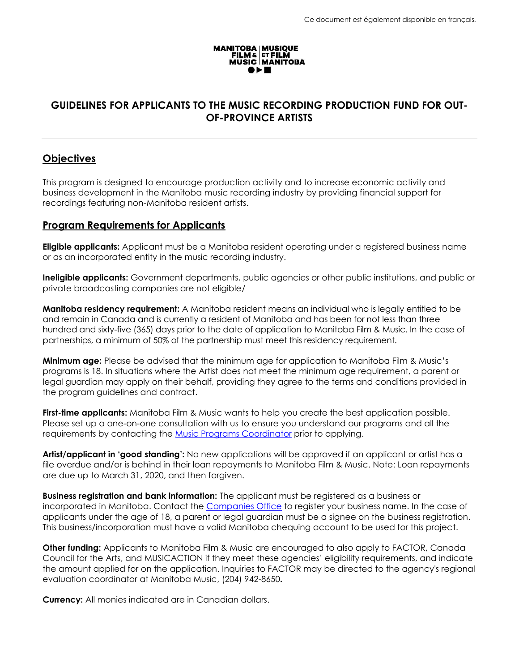

# **GUIDELINES FOR APPLICANTS TO THE MUSIC RECORDING PRODUCTION FUND FOR OUT-OF-PROVINCE ARTISTS**

## **Objectives**

This program is designed to encourage production activity and to increase economic activity and business development in the Manitoba music recording industry by providing financial support for recordings featuring non-Manitoba resident artists.

### **Program Requirements for Applicants**

**Eligible applicants:** Applicant must be a Manitoba resident operating under a registered business name or as an incorporated entity in the music recording industry.

**Ineligible applicants:** Government departments, public agencies or other public institutions, and public or private broadcasting companies are not eligible/

**Manitoba residency requirement:** A Manitoba resident means an individual who is legally entitled to be and remain in Canada and is currently a resident of Manitoba and has been for not less than three hundred and sixty-five (365) days prior to the date of application to Manitoba Film & Music. In the case of partnerships, a minimum of 50% of the partnership must meet this residency requirement.

**Minimum age:** Please be advised that the minimum age for application to Manitoba Film & Music's programs is 18. In situations where the Artist does not meet the minimum age requirement, a parent or legal guardian may apply on their behalf, providing they agree to the terms and conditions provided in the program guidelines and contract.

**First-time applicants:** Manitoba Film & Music wants to help you create the best application possible. Please set up a one-on-one consultation with us to ensure you understand our programs and all the requirements by contacting the [Music Programs Coordinator](mailto:bonnie@mbfilmmusic.ca) prior to applying.

**Artist/applicant in 'good standing':** No new applications will be approved if an applicant or artist has a file overdue and/or is behind in their loan repayments to Manitoba Film & Music. Note: Loan repayments are due up to March 31, 2020, and then forgiven.

**Business registration and bank information:** The applicant must be registered as a business or incorporated in Manitoba. Contact the [Companies Office](https://companiesoffice.gov.mb.ca/) to register your business name. In the case of applicants under the age of 18, a parent or legal guardian must be a signee on the business registration. This business/incorporation must have a valid Manitoba chequing account to be used for this project.

**Other funding:** Applicants to Manitoba Film & Music are encouraged to also apply to FACTOR, Canada Council for the Arts, and MUSICACTION if they meet these agencies' eligibility requirements, and indicate the amount applied for on the application. Inquiries to FACTOR may be directed to the agency's regional evaluation coordinator at Manitoba Music, (204) 942-8650**.**

**Currency:** All monies indicated are in Canadian dollars.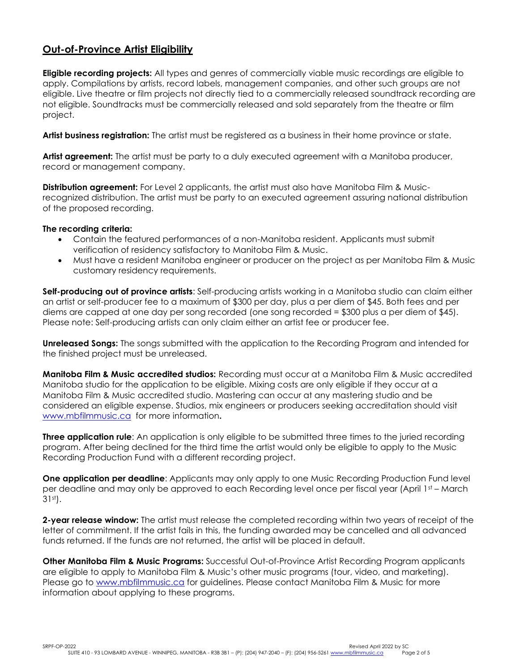## **Out-of-Province Artist Eligibility**

**Eligible recording projects:** All types and genres of commercially viable music recordings are eligible to apply. Compilations by artists, record labels, management companies, and other such groups are not eligible. Live theatre or film projects not directly tied to a commercially released soundtrack recording are not eligible. Soundtracks must be commercially released and sold separately from the theatre or film project.

**Artist business registration:** The artist must be registered as a business in their home province or state.

**Artist agreement:** The artist must be party to a duly executed agreement with a Manitoba producer, record or management company.

**Distribution agreement:** For Level 2 applicants, the artist must also have Manitoba Film & Musicrecognized distribution. The artist must be party to an executed agreement assuring national distribution of the proposed recording.

### **The recording criteria:**

- Contain the featured performances of a non-Manitoba resident. Applicants must submit verification of residency satisfactory to Manitoba Film & Music.
- Must have a resident Manitoba engineer or producer on the project as per Manitoba Film & Music customary residency requirements.

**Self-producing out of province artists**: Self-producing artists working in a Manitoba studio can claim either an artist or self-producer fee to a maximum of \$300 per day, plus a per diem of \$45. Both fees and per diems are capped at one day per song recorded (one song recorded = \$300 plus a per diem of \$45). Please note: Self-producing artists can only claim either an artist fee or producer fee.

**Unreleased Songs:** The songs submitted with the application to the Recording Program and intended for the finished project must be unreleased.

**Manitoba Film & Music accredited studios:** Recording must occur at a Manitoba Film & Music accredited Manitoba studio for the application to be eligible. Mixing costs are only eligible if they occur at a Manitoba Film & Music accredited studio. Mastering can occur at any mastering studio and be considered an eligible expense. Studios, mix engineers or producers seeking accreditation should visit [www.mbfilmmusic.ca](http://www.mbfilmmusic.ca/) for more information**.**

**Three application rule**: An application is only eligible to be submitted three times to the juried recording program. After being declined for the third time the artist would only be eligible to apply to the Music Recording Production Fund with a different recording project.

**One application per deadline**: Applicants may only apply to one Music Recording Production Fund level per deadline and may only be approved to each Recording level once per fiscal year (April 1st – March 31st).

**2-year release window:** The artist must release the completed recording within two years of receipt of the letter of commitment. If the artist fails in this, the funding awarded may be cancelled and all advanced funds returned. If the funds are not returned, the artist will be placed in default.

**Other Manitoba Film & Music Programs:** Successful Out-of-Province Artist Recording Program applicants are eligible to apply to Manitoba Film & Music's other music programs (tour, video, and marketing). Please go to [www.mbfilmmusic.ca](http://www.mbfilmmusic.ca/) for guidelines. Please contact Manitoba Film & Music for more information about applying to these programs.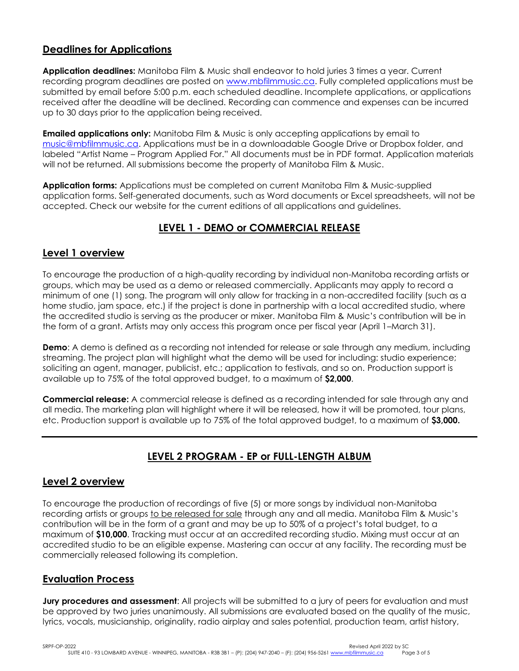## **Deadlines for Applications**

**Application deadlines:** Manitoba Film & Music shall endeavor to hold juries 3 times a year. Current recording program deadlines are posted on [www.mbfilmmusic.ca.](file://///mfms01/masters/MASTER%20DOCUMENTS/3%20Music%20Program/MASTER%20GUIDELINES%20AND%20APPLICATION%20FORMS/Music%20Recording%20Production%20Fund%20for%20Out%20of%20Province/Current/www.mbfilmmusic.ca) Fully completed applications must be submitted by email before 5:00 p.m. each scheduled deadline. Incomplete applications, or applications received after the deadline will be declined. Recording can commence and expenses can be incurred up to 30 days prior to the application being received.

**Emailed applications only:** Manitoba Film & Music is only accepting applications by email to [music@mbfilmmusic.ca.](mailto:music@mbfilmmusic.ca) Applications must be in a downloadable Google Drive or Dropbox folder, and labeled "Artist Name – Program Applied For." All documents must be in PDF format. Application materials will not be returned. All submissions become the property of Manitoba Film & Music.

**Application forms:** Applications must be completed on current Manitoba Film & Music-supplied application forms. Self-generated documents, such as Word documents or Excel spreadsheets, will not be accepted. Check our website for the current editions of all applications and guidelines.

# **LEVEL 1 - DEMO or COMMERCIAL RELEASE**

## **Level 1 overview**

To encourage the production of a high-quality recording by individual non-Manitoba recording artists or groups, which may be used as a demo or released commercially. Applicants may apply to record a minimum of one (1) song. The program will only allow for tracking in a non-accredited facility (such as a home studio, jam space, etc.) if the project is done in partnership with a local accredited studio, where the accredited studio is serving as the producer or mixer. Manitoba Film & Music's contribution will be in the form of a grant. Artists may only access this program once per fiscal year (April 1–March 31).

**Demo**: A demo is defined as a recording not intended for release or sale through any medium, including streaming. The project plan will highlight what the demo will be used for including: studio experience; soliciting an agent, manager, publicist, etc.; application to festivals, and so on. Production support is available up to 75% of the total approved budget, to a maximum of **\$2,000**.

**Commercial release:** A commercial release is defined as a recording intended for sale through any and all media. The marketing plan will highlight where it will be released, how it will be promoted, tour plans, etc. Production support is available up to 75% of the total approved budget, to a maximum of **\$3,000.**

# **LEVEL 2 PROGRAM - EP or FULL-LENGTH ALBUM**

## **Level 2 overview**

To encourage the production of recordings of five (5) or more songs by individual non-Manitoba recording artists or groups to be released for sale through any and all media. Manitoba Film & Music's contribution will be in the form of a grant and may be up to 50% of a project's total budget, to a maximum of **\$10,000**. Tracking must occur at an accredited recording studio. Mixing must occur at an accredited studio to be an eligible expense. Mastering can occur at any facility. The recording must be commercially released following its completion.

## **Evaluation Process**

**Jury procedures and assessment**: All projects will be submitted to a jury of peers for evaluation and must be approved by two juries unanimously. All submissions are evaluated based on the quality of the music, lyrics, vocals, musicianship, originality, radio airplay and sales potential, production team, artist history,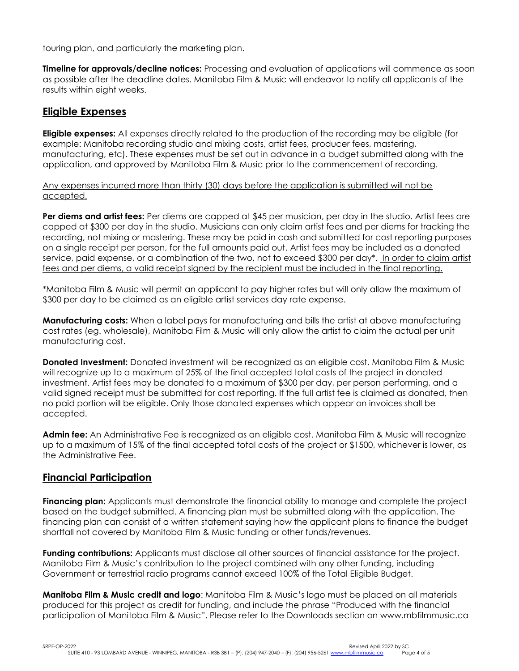touring plan, and particularly the marketing plan.

**Timeline for approvals/decline notices:** Processing and evaluation of applications will commence as soon as possible after the deadline dates. Manitoba Film & Music will endeavor to notify all applicants of the results within eight weeks.

## **Eligible Expenses**

**Eligible expenses:** All expenses directly related to the production of the recording may be eligible (for example: Manitoba recording studio and mixing costs, artist fees, producer fees, mastering, manufacturing, etc). These expenses must be set out in advance in a budget submitted along with the application, and approved by Manitoba Film & Music prior to the commencement of recording.

Any expenses incurred more than thirty (30) days before the application is submitted will not be accepted.

**Per diems and artist fees:** Per diems are capped at \$45 per musician, per day in the studio. Artist fees are capped at \$300 per day in the studio. Musicians can only claim artist fees and per diems for tracking the recording, not mixing or mastering. These may be paid in cash and submitted for cost reporting purposes on a single receipt per person, for the full amounts paid out. Artist fees may be included as a donated service, paid expense, or a combination of the two, not to exceed \$300 per day\*. In order to claim artist fees and per diems, a valid receipt signed by the recipient must be included in the final reporting.

\*Manitoba Film & Music will permit an applicant to pay higher rates but will only allow the maximum of \$300 per day to be claimed as an eligible artist services day rate expense.

**Manufacturing costs:** When a label pays for manufacturing and bills the artist at above manufacturing cost rates (eg. wholesale), Manitoba Film & Music will only allow the artist to claim the actual per unit manufacturing cost.

**Donated Investment:** Donated investment will be recognized as an eligible cost. Manitoba Film & Music will recognize up to a maximum of 25% of the final accepted total costs of the project in donated investment. Artist fees may be donated to a maximum of \$300 per day, per person performing, and a valid signed receipt must be submitted for cost reporting. If the full artist fee is claimed as donated, then no paid portion will be eligible. Only those donated expenses which appear on invoices shall be accepted.

**Admin fee:** An Administrative Fee is recognized as an eligible cost. Manitoba Film & Music will recognize up to a maximum of 15% of the final accepted total costs of the project or \$1500, whichever is lower, as the Administrative Fee.

### **Financial Participation**

**Financing plan:** Applicants must demonstrate the financial ability to manage and complete the project based on the budget submitted. A financing plan must be submitted along with the application. The financing plan can consist of a written statement saying how the applicant plans to finance the budget shortfall not covered by Manitoba Film & Music funding or other funds/revenues.

**Funding contributions:** Applicants must disclose all other sources of financial assistance for the project. Manitoba Film & Music's contribution to the project combined with any other funding, including Government or terrestrial radio programs cannot exceed 100% of the Total Eligible Budget.

**Manitoba Film & Music credit and logo**: Manitoba Film & Music's logo must be placed on all materials produced for this project as credit for funding, and include the phrase "Produced with the financial participation of Manitoba Film & Music". Please refer to the Downloads section on www.mbfilmmusic.ca